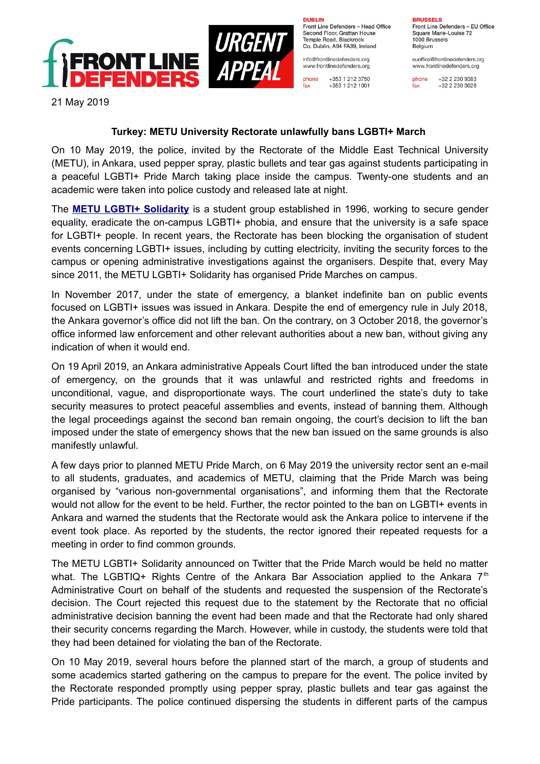

**DURLIN** 

Front Line Defenders - Head Office Second Floor, Grattan House Temple Boad, Blackrock Co. Dublin, A94 FA39, Ireland

info@frontlinedefenders.org www.frontlinedefenders.org

phone +353 1 212 3750 fax +353 1 212 1001 **BDHCCELC** Front Line Defenders - EU Office Square Marie-Louise 72

1000 Brussels Belgium euoffice@frontlinedefenders.org

www.frontlinedefenders.org

phone +32 2 230 9383 fax +32 2 230 0028

21 May 2019

## **Turkey: METU University Rectorate unlawfully bans LGBTI+ March**

On 10 May 2019, the police, invited by the Rectorate of the Middle East Technical University (METU), in Ankara, used pepper spray, plastic bullets and tear gas against students participating in a peaceful LGBTI+ Pride March taking place inside the campus. Twenty-one students and an academic were taken into police custody and released late at night.

The **[METU LGBTI+ Solidarity](https://www.frontlinedefenders.org/en/organization/metu-lgbti-solidarity)** is a student group established in 1996, working to secure gender equality, eradicate the on-campus LGBTI+ phobia, and ensure that the university is a safe space for LGBTI+ people. In recent years, the Rectorate has been blocking the organisation of student events concerning LGBTI+ issues, including by cutting electricity, inviting the security forces to the campus or opening administrative investigations against the organisers. Despite that, every May since 2011, the METU LGBTI+ Solidarity has organised Pride Marches on campus.

In November 2017, under the state of emergency, a blanket indefinite ban on public events focused on LGBTI+ issues was issued in Ankara. Despite the end of emergency rule in July 2018, the Ankara governor's office did not lift the ban. On the contrary, on 3 October 2018, the governor's office informed law enforcement and other relevant authorities about a new ban, without giving any indication of when it would end.

On 19 April 2019, an Ankara administrative Appeals Court lifted the ban introduced under the state of emergency, on the grounds that it was unlawful and restricted rights and freedoms in unconditional, vague, and disproportionate ways. The court underlined the state's duty to take security measures to protect peaceful assemblies and events, instead of banning them. Although the legal proceedings against the second ban remain ongoing, the court's decision to lift the ban imposed under the state of emergency shows that the new ban issued on the same grounds is also manifestly unlawful.

A few days prior to planned METU Pride March, on 6 May 2019 the university rector sent an e-mail to all students, graduates, and academics of METU, claiming that the Pride March was being organised by "various non-governmental organisations", and informing them that the Rectorate would not allow for the event to be held. Further, the rector pointed to the ban on LGBTI+ events in Ankara and warned the students that the Rectorate would ask the Ankara police to intervene if the event took place. As reported by the students, the rector ignored their repeated requests for a meeting in order to find common grounds.

The METU LGBTI+ Solidarity announced on Twitter that the Pride March would be held no matter what. The LGBTIQ+ Rights Centre of the Ankara Bar Association applied to the Ankara  $7<sup>th</sup>$ Administrative Court on behalf of the students and requested the suspension of the Rectorate's decision. The Court rejected this request due to the statement by the Rectorate that no official administrative decision banning the event had been made and that the Rectorate had only shared their security concerns regarding the March. However, while in custody, the students were told that they had been detained for violating the ban of the Rectorate.

On 10 May 2019, several hours before the planned start of the march, a group of students and some academics started gathering on the campus to prepare for the event. The police invited by the Rectorate responded promptly using pepper spray, plastic bullets and tear gas against the Pride participants. The police continued dispersing the students in different parts of the campus